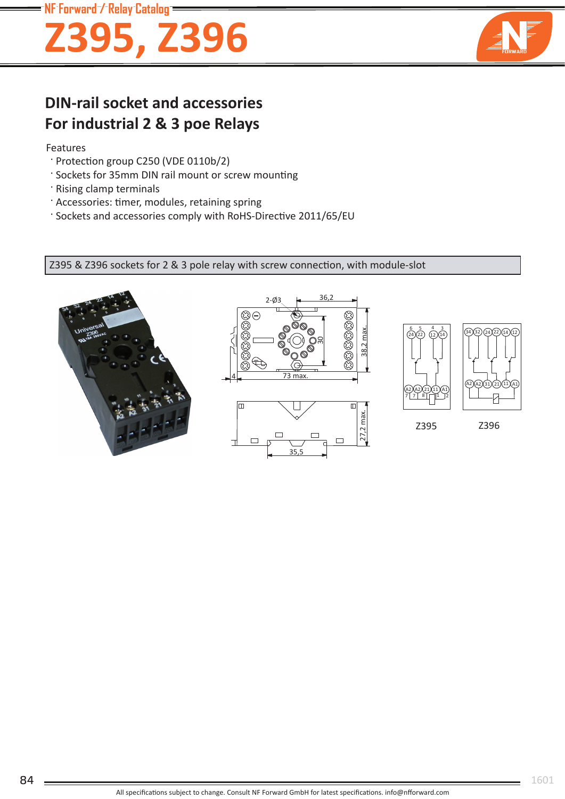### **NF Forward / Relay Catalog**

# **Z395, Z396**



## **DIN-rail socket and accessories For industrial 2 & 3 poe Relays**

#### Features

- · Protection group C250 (VDE 0110b/2)
- ' Sockets for 35mm DIN rail mount or screw mounting
- · Rising clamp terminals
- · Accessories: timer, modules, retaining spring
- ' Sockets and accessories comply with RoHS-Directive 2011/65/EU

Z395 & Z396 sockets for 2 & 3 pole relay with screw connection, with module-slot







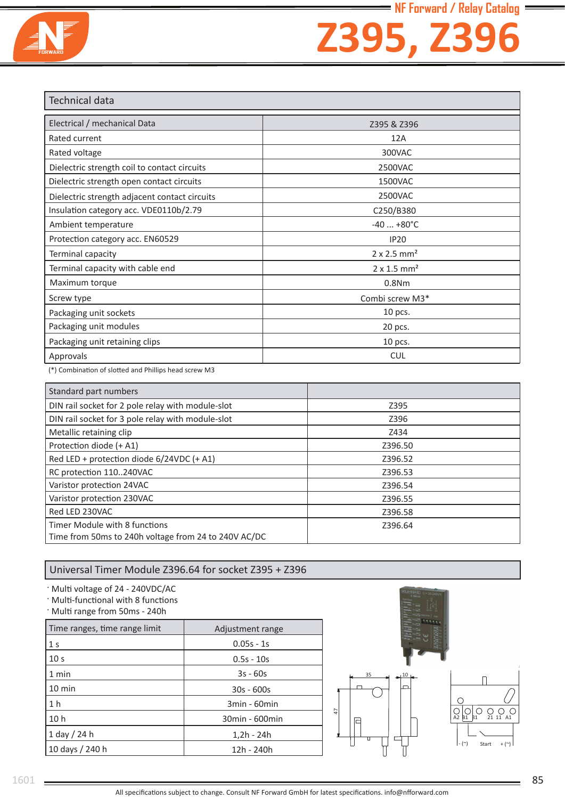

## **Z395, Z396**

| <b>Technical data</b>                         |                                |  |
|-----------------------------------------------|--------------------------------|--|
| Electrical / mechanical Data                  | Z395 & Z396                    |  |
| Rated current                                 | 12A                            |  |
| Rated voltage                                 | 300VAC                         |  |
| Dielectric strength coil to contact circuits  | 2500VAC                        |  |
| Dielectric strength open contact circuits     | 1500VAC                        |  |
| Dielectric strength adjacent contact circuits | 2500VAC                        |  |
| Insulation category acc. VDE0110b/2.79        | C250/B380                      |  |
| Ambient temperature                           | $-40+80^{\circ}C$              |  |
| Protection category acc. EN60529              | IP20                           |  |
| Terminal capacity                             | $2 \times 2.5$ mm <sup>2</sup> |  |
| Terminal capacity with cable end              | $2 \times 1.5$ mm <sup>2</sup> |  |
| Maximum torque                                | 0.8N <sub>m</sub>              |  |
| Screw type                                    | Combi screw M3*                |  |
| Packaging unit sockets                        | 10 pcs.                        |  |
| Packaging unit modules                        | 20 pcs.                        |  |
| Packaging unit retaining clips                | 10 pcs.                        |  |
| Approvals                                     | <b>CUL</b>                     |  |

(\*) Combination of slotted and Phillips head screw M3

| Standard part numbers                                                                 |         |
|---------------------------------------------------------------------------------------|---------|
| DIN rail socket for 2 pole relay with module-slot                                     | Z395    |
| DIN rail socket for 3 pole relay with module-slot                                     | Z396    |
| Metallic retaining clip                                                               | Z434    |
| Protection diode (+ A1)                                                               | Z396.50 |
| Red LED + protection diode 6/24VDC (+ A1)                                             | Z396.52 |
| RC protection 110240VAC                                                               | Z396.53 |
| Varistor protection 24VAC                                                             | Z396.54 |
| Varistor protection 230VAC                                                            | Z396.55 |
| Red LED 230VAC                                                                        | Z396.58 |
| Timer Module with 8 functions<br>Time from 50ms to 240h voltage from 24 to 240V AC/DC | Z396.64 |

### Universal Timer Module Z396.64 for socket Z395 + Z396

Multi voltage of 24 - 240VDC/AC

**Multi-functional with 8 functions** 

· Multi range from 50ms - 240h

| Time ranges, time range limit | Adjustment range |
|-------------------------------|------------------|
| 1 <sub>s</sub>                | $0.05s - 1s$     |
| 10 <sub>s</sub>               | $0.5s - 10s$     |
| 1 min                         | $3s - 60s$       |
| $10 \text{ min}$              | $30s - 600s$     |
| 1 <sub>h</sub>                | 3min - 60min     |
| 10 <sub>h</sub>               | 30min - 600min   |
| $1$ day / 24 h                | $1,2h - 24h$     |
| 10 days / 240 h               | 12h - 240h       |